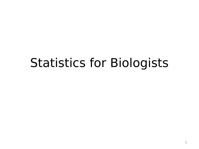#### Statistics for Biologists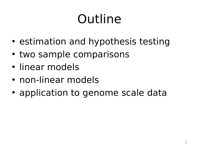# Outline

- estimation and hypothesis testing
- two sample comparisons
- linear models
- non-linear models
- application to genome scale data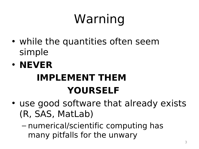# Warning

- while the quantities often seem simple
- **NEVER IMPLEMENT THEM YOURSELF**
- use good software that already exists (R, SAS, MatLab)
	- numerical/scientific computing has many pitfalls for the unwary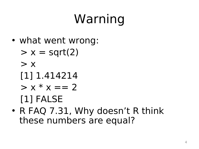# Warning

- what went wrong:
	- $> x = sqrt(2)$
	- $> x$
	- [1] 1.414214
	- $> x * x == 2$

[1] FALSE

• R FAQ 7.31, Why doesn't R think these numbers are equal?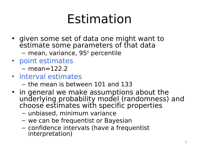#### Estimation

- given some set of data one might want to estimate some parameters of that data  $-$  mean, variance, 95<sup>th</sup> percentile
- point estimates
	- $-$  mean=122.2
- interval estimates
	- the mean is between 101 and 133
- in general we make assumptions about the underlying probability model (randomness) and choose estimates with specific properties
	- unbiased, minimum variance
	- we can be frequentist or Bayesian
	- confidence intervals (have a frequentist interpretation)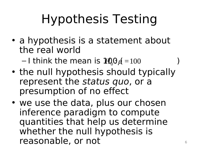# Hypothesis Testing

• a hypothesis is a statement about the real world

 $-1$  think the mean is  $\text{H}^{0}_{0}$  $\mu$  = 100  $\hbar$ )

- the null hypothesis should typically represent the status quo, or a presumption of no effect
- we use the data, plus our chosen inference paradigm to compute quantities that help us determine whether the null hypothesis is reasonable, or not motion of  $\sim$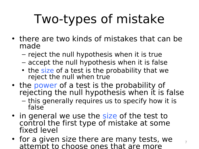# Two-types of mistake

- there are two kinds of mistakes that can be made
	- reject the null hypothesis when it is true
	- accept the null hypothesis when it is false
	- the size of a test is the probability that we reject the null when true
- the power of a test is the probability of rejecting the null hypothesis when it is false
	- this generally requires us to specify how it is false
- in general we use the size of the test to control the first type of mistake at some fixed level
- for a given size there are many tests, we attempt to choose ones that are more

7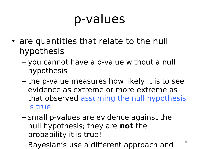#### p-values

- are quantities that relate to the null hypothesis
	- you cannot have a p-value without a null hypothesis
	- the p-value measures how likely it is to see evidence as extreme or more extreme as that observed assuming the null hypothesis is true
	- small p-values are evidence against the null hypothesis; they are **not** the probability it is true!
	- Bayesian's use a different approach and

8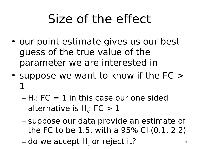## Size of the effect

- our point estimate gives us our best guess of the true value of the parameter we are interested in
- suppose we want to know if the FC > 1
	- $H_{0}$ : FC  $= 1$  in this case our one sided alternative is  $H_A$ : FC  $> 1$
	- suppose our data provide an estimate of the FC to be 1.5, with a 95% CI (0.1, 2.2)
	- $-$  do we accept  $\mathsf{H}_{\scriptscriptstyle{0}}$  or reject it?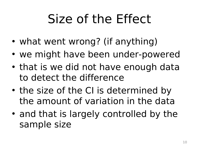# Size of the Effect

- what went wrong? (if anything)
- we might have been under-powered
- that is we did not have enough data to detect the difference
- the size of the CI is determined by the amount of variation in the data
- and that is largely controlled by the sample size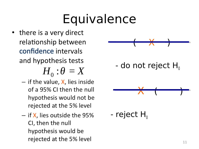## Equivalence

• there is a very direct relationship between confidence intervals and hypothesis tests

 $H^+_0$  :  $\theta = X$ 

- $-$  if the value, X, lies inside of a 95% CI then the null hypothesis would not be rejected at the 5% level
- $-$  if **X**, lies outside the 95%  $-$  **reject**  $H_0$ <br>CI, then the null hypothesis would be rejected at the 5% level

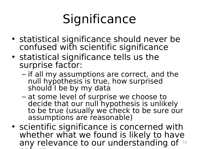# **Significance**

- statistical significance should never be confused with scientific significance
- statistical significance tells us the surprise factor:
	- if all my assumptions are correct, and the null hypothesis is true, how surprised should I be by my data
	- at some level of surprise we choose to decide that our null hypothesis is unlikely to be true (usually we check to be sure our assumptions are reasonable)
- scientific significance is concerned with whether what we found is likely to have any relevance to our understanding of 12nature **i** nature and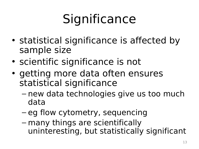# **Significance**

- statistical significance is affected by sample size
- scientific significance is not
- getting more data often ensures statistical significance
	- new data technologies give us too much data
	- eg flow cytometry, sequencing
	- many things are scientifically uninteresting, but statistically significant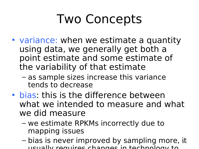### Two Concepts

- variance: when we estimate a quantity using data, we generally get both a point estimate and some estimate of the variability of that estimate
	- as sample sizes increase this variance tends to decrease
- bias: this is the difference between what we intended to measure and what we did measure
	- we estimate RPKMs incorrectly due to mapping issues
	- bias is never improved by sampling more, it usually requires changes in technology to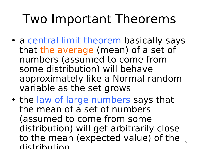#### Two Important Theorems

- a central limit theorem basically says that the average (mean) of a set of numbers (assumed to come from some distribution) will behave approximately like a Normal random variable as the set grows
- the law of large numbers says that the mean of a set of numbers (assumed to come from some distribution) will get arbitrarily close to the mean (expected value) of the  $_{15}$ distribution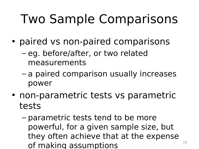# Two Sample Comparisons

- paired vs non-paired comparisons
	- eg. before/after, or two related measurements
	- a paired comparison usually increases power
- non-parametric tests vs parametric tests
	- parametric tests tend to be more powerful, for a given sample size, but they often achieve that at the expense of making assumptions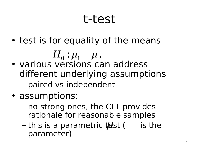#### t-test

• test is for equality of the means

 $H^+_0$  :  $\mu^+_1$  =  $\mu^+_2$ 

- various versions can address different underlying assumptions – paired vs independent
- assumptions: €
	- no strong ones, the CLT provides rationale for reasonable samples
	- this is a parametric  $\sharp\textsf{est}$  ( is the parameter)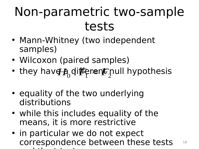#### Non-parametric two-sample tests

- Mann-Whitney (two independent samples)
- Wilcoxon (paired samples)
- they hav<del>g a</del> different null hypothesis
- equality of the two underlying distributions
- while this includes equality of the means, it is more restrictive
	- in particular we do not expect correspondence between these tests and the t-test state of the t-test state of the t-test state of the t-test state of the t-test state of the t-18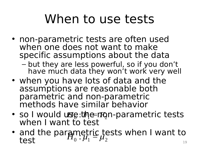### When to use tests

- non-parametric tests are often used when one does not want to make specific assumptions about the data
	- but they are less powerful, so if you don't have much data they won't work very well
- when you have lots of data and the assumptions are reasonable both parametric and non-parametric methods have similar behavior
- so I would use:the mon-parametric tests when I want to test
- · and the parametric tests when I want to and the paralient is tests when I want to the test of  $\mu_0$ :  $\mu_1 = \mu_2$ €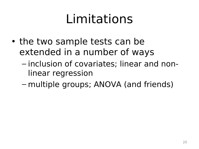### Limitations

- the two sample tests can be extended in a number of ways
	- inclusion of covariates; linear and nonlinear regression
	- multiple groups; ANOVA (and friends)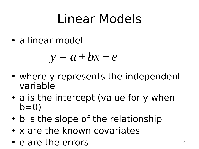### Linear Models

• a linear model

$$
y = a + bx + e
$$

- where y represents the independent variable
- a is the intercept (value for y when  $b=0$
- b is the slope of the relationship
- x are the known covariates
- e are the errors  $21$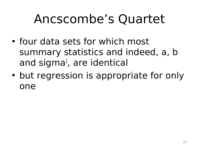### Ancscombe's Quartet

- four data sets for which most summary statistics and indeed, a, b and sigma<sup>2</sup>, are identical
- but regression is appropriate for only one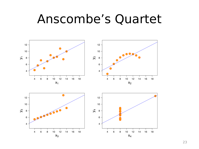#### Anscombe's Quartet

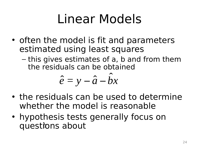### Linear Models

- often the model is fit and parameters estimated using least squares
	- this gives estimates of a, b and from them the residuals can be obtained

$$
\hat{e} = y - \hat{a} - \hat{b}x
$$

- the residuals can be used to determine whether the model is reasonable
- hypothesis tests generally focus on questions about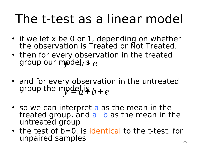#### The t-test as a linear model

- if we let x be 0 or 1, depending on whether the observation is Treated or Not Treated,
- then for every observation in the treated group our mo<del>de</del>his e
- and for every observation in the untreated group the model is  $b+e$
- so we can interpret a as the mean in the treated group, and  $a+b$  as the mean in the untreated group
- the test of b=0, is identical to the t-test, for unpaired samples 25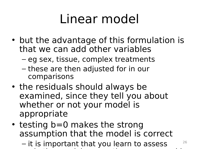### Linear model

- but the advantage of this formulation is that we can add other variables
	- eg sex, tissue, complex treatments
	- these are then adjusted for in our comparisons
- the residuals should always be examined, since they tell you about whether or not your model is appropriate
- testing b=0 makes the strong assumption that the model is correct
	- it is important that you learn to assess whether model assumptions are reasonable model assumptions are reasonable assumptions are reasonable assumption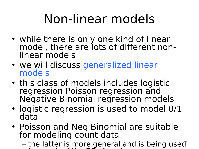### Non-linear models

- while there is only one kind of linear model, there are lots of different nonlinear models
- we will discuss generalized linear models
- this class of models includes logistic regression Poisson regression and Negative Binomial regression models
- logistic regression is used to model 0/1 data
- Poisson and Neg Binomial are suitable for modeling count data
	- the latter is more general and is being used  $f \circ \psi$  and  $f \circ \psi$  is the DE of next generating generating  $f \circ \psi$  and  $f \circ \psi$  is the DE of next generating  $f \circ \psi$ 27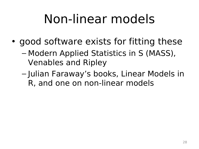## Non-linear models

- good software exists for fitting these
	- Modern Applied Statistics in S (MASS), Venables and Ripley
	- Julian Faraway's books, Linear Models in R, and one on non-linear models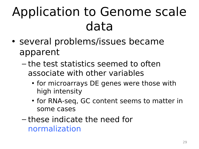## Application to Genome scale data

- several problems/issues became apparent
	- the test statistics seemed to often associate with other variables
		- for microarrays DE genes were those with high intensity
		- for RNA-seq, GC content seems to matter in some cases
	- these indicate the need for normalization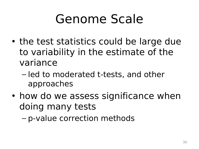### Genome Scale

- the test statistics could be large due to variability in the estimate of the variance
	- led to moderated t-tests, and other approaches
- how do we assess significance when doing many tests

– p-value correction methods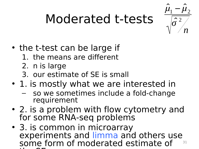# Moderated t-tests



- the t-test can be large if
	- 1. the means are different
	- 2. n is large
	- 3. our estimate of SE is small  $\mathbf{u}$
- 1. is mostly what we are interested in
	- so we sometimes include a fold-change requirement
- 2. is a problem with flow cytometry and for some RNA-seq problems
- 3. is common in microarray experiments and limma and others use some form of moderated estimate of  $\blacksquare$ 31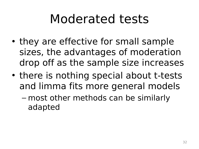#### Moderated tests

- they are effective for small sample sizes, the advantages of moderation drop off as the sample size increases
- there is nothing special about t-tests and limma fits more general models
	- most other methods can be similarly adapted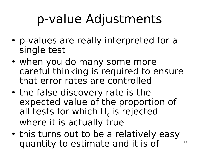## p-value Adjustments

- p-values are really interpreted for a single test
- when you do many some more careful thinking is required to ensure that error rates are controlled
- the false discovery rate is the expected value of the proportion of all tests for which  $H_0$  is rejected where it is actually true
- this turns out to be a relatively easy quantity to estimate and it is of 33